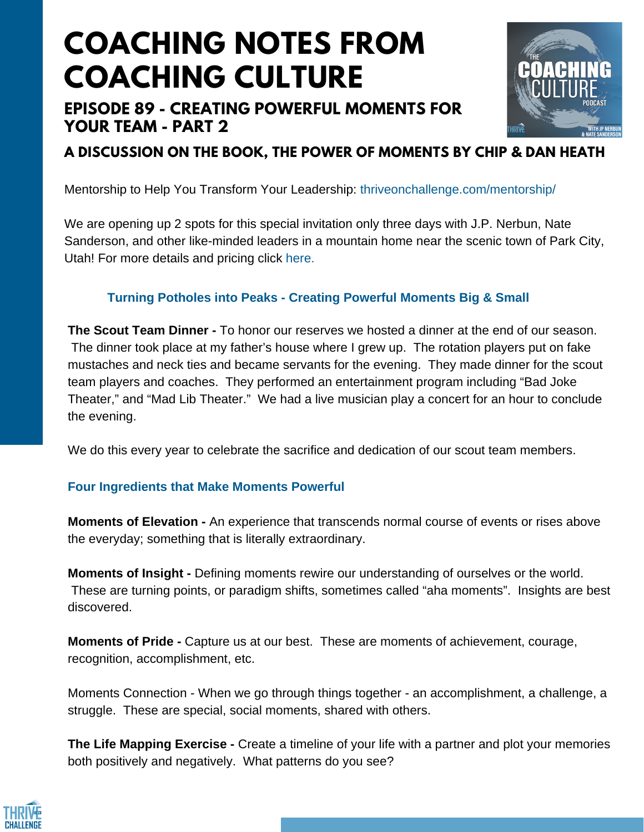# **COACHING NOTES FROM COACHING CULTURE**

## **EPISODE 89 - CREATING POWERFUL MOMENTS FOR YOUR TEAM - PART 2**



**A DISCUSSION ON THE BOOK, THE POWER OF MOMENTS BY CHIP & DAN HEATH**

Mentorship to Help You Transform Your Leadership: [thriveonchallenge.com/mentorship/](https://thriveonchallenge.com/mentorship/)

We are opening up 2 spots for this special invitation only three days with J.P. Nerbun, Nate Sanderson, and other like-minded leaders in a mountain home near the scenic town of Park City, Utah! For more details and pricing click here.

### **Turning Potholes into Peaks - Creating Powerful Moments Big & Small**

**The Scout Team Dinner -** To honor our reserves we hosted a dinner at the end of our season. The dinner took place at my father's house where I grew up. The rotation players put on fake mustaches and neck ties and became servants for the evening. They made dinner for the scout team players and coaches. They performed an entertainment program including "Bad Joke Theater," and "Mad Lib Theater." We had a live musician play a concert for an hour to conclude the evening.

We do this every year to celebrate the sacrifice and dedication of our scout team members.

#### **Four Ingredients that Make Moments Powerful**

**Moments of Elevation -** An experience that transcends normal course of events or rises above the everyday; something that is literally extraordinary.

**Moments of Insight -** Defining moments rewire our understanding of ourselves or the world. These are turning points, or paradigm shifts, sometimes called "aha moments". Insights are best discovered.

**Moments of Pride -** Capture us at our best. These are moments of achievement, courage, recognition, accomplishment, etc.

Moments Connection - When we go through things together - an accomplishment, a challenge, a struggle. These are special, social moments, shared with others.

**The Life Mapping Exercise -** Create a timeline of your life with a partner and plot your memories both positively and negatively. What patterns do you see?

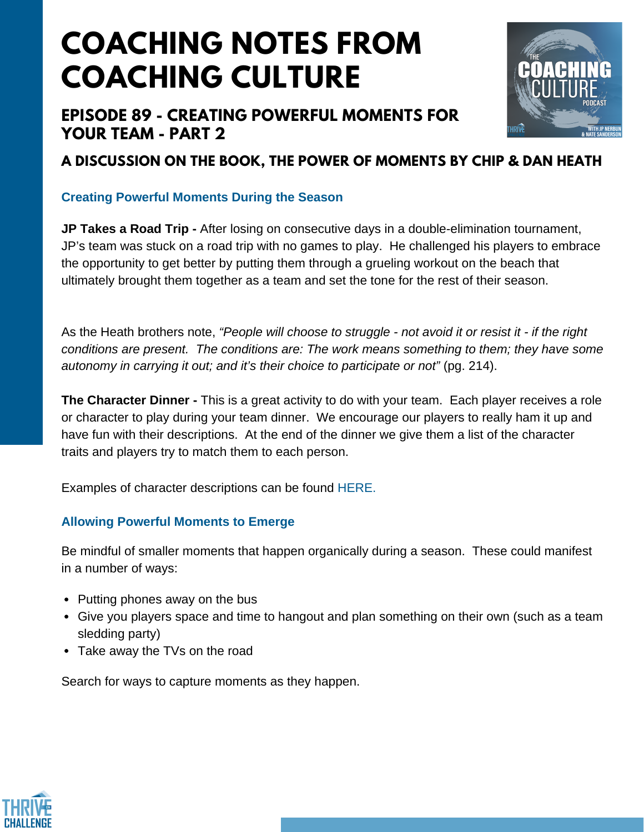## **COACHING NOTES FROM COACHING CULTURE**

### **EPISODE 89 - CREATING POWERFUL MOMENTS FOR YOUR TEAM - PART 2**



## **A DISCUSSION ON THE BOOK, THE POWER OF MOMENTS BY CHIP & DAN HEATH**

#### **Creating Powerful Moments During the Season**

**JP Takes a Road Trip -** After losing on consecutive days in a double-elimination tournament, JP's team was stuck on a road trip with no games to play. He challenged his players to embrace the opportunity to get better by putting them through a grueling workout on the beach that ultimately brought them together as a team and set the tone for the rest of their season.

As the Heath brothers note, *"People will choose to struggle - not avoid it or resist it - if the right conditions are present. The conditions are: The work means something to them; they have some autonomy in carrying it out; and it's their choice to participate or not"* (pg. 214).

**The Character Dinner -** This is a great activity to do with your team. Each player receives a role or character to play during your team dinner. We encourage our players to really ham it up and have fun with their descriptions. At the end of the dinner we give them a list of the character traits and players try to match them to each person.

Examples of character descriptions can be found [HERE.](https://docs.google.com/document/d/1iBj0nkmnkGzXzZ7plXG47mTbqdV4ghHWEpIuS7SxMpk/edit)

### **Allowing Powerful Moments to Emerge**

Be mindful of smaller moments that happen organically during a season. These could manifest in a number of ways:

- Putting phones away on the bus
- Give you players space and time to hangout and plan something on their own (such as a team sledding party)
- Take away the TVs on the road

Search for ways to capture moments as they happen.